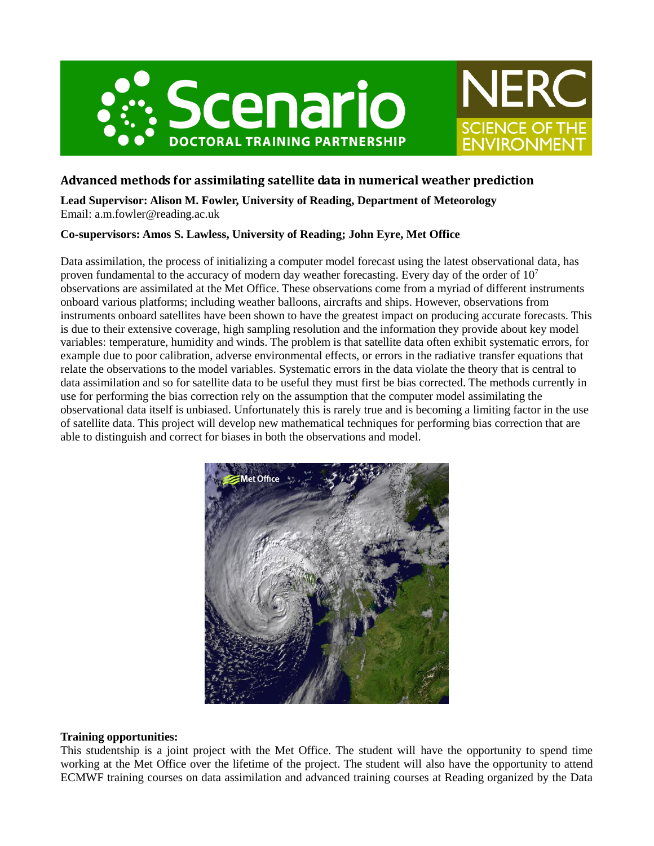



## **Advanced methods for assimilating satellite data in numerical weather prediction**

**Lead Supervisor: Alison M. Fowler, University of Reading, Department of Meteorology** Email: a.m.fowler@reading.ac.uk

## **Co-supervisors: Amos S. Lawless, University of Reading; John Eyre, Met Office**

Data assimilation, the process of initializing a computer model forecast using the latest observational data, has proven fundamental to the accuracy of modern day weather forecasting. Every day of the order of  $10<sup>7</sup>$ observations are assimilated at the Met Office. These observations come from a myriad of different instruments onboard various platforms; including weather balloons, aircrafts and ships. However, observations from instruments onboard satellites have been shown to have the greatest impact on producing accurate forecasts. This is due to their extensive coverage, high sampling resolution and the information they provide about key model variables: temperature, humidity and winds. The problem is that satellite data often exhibit systematic errors, for example due to poor calibration, adverse environmental effects, or errors in the radiative transfer equations that relate the observations to the model variables. Systematic errors in the data violate the theory that is central to data assimilation and so for satellite data to be useful they must first be bias corrected. The methods currently in use for performing the bias correction rely on the assumption that the computer model assimilating the observational data itself is unbiased. Unfortunately this is rarely true and is becoming a limiting factor in the use of satellite data. This project will develop new mathematical techniques for performing bias correction that are able to distinguish and correct for biases in both the observations and model.



## **Training opportunities:**

This studentship is a joint project with the Met Office. The student will have the opportunity to spend time working at the Met Office over the lifetime of the project. The student will also have the opportunity to attend ECMWF training courses on data assimilation and advanced training courses at Reading organized by the Data